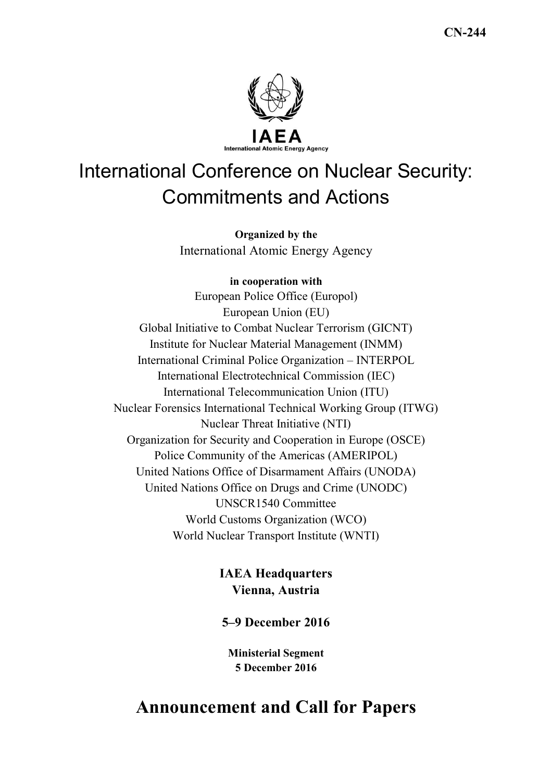

# International Conference on Nuclear Security: Commitments and Actions

**Organized by the**  International Atomic Energy Agency

### **in cooperation with**

European Police Office (Europol) European Union (EU) Global Initiative to Combat Nuclear Terrorism (GICNT) Institute for Nuclear Material Management (INMM) International Criminal Police Organization – INTERPOL International Electrotechnical Commission (IEC) International Telecommunication Union (ITU) Nuclear Forensics International Technical Working Group (ITWG) Nuclear Threat Initiative (NTI) Organization for Security and Cooperation in Europe (OSCE) Police Community of the Americas (AMERIPOL) United Nations Office of Disarmament Affairs (UNODA) United Nations Office on Drugs and Crime (UNODC) UNSCR1540 Committee World Customs Organization (WCO) World Nuclear Transport Institute (WNTI)

## **IAEA Headquarters Vienna, Austria**

### **5–9 December 2016**

**Ministerial Segment 5 December 2016** 

# **Announcement and Call for Papers**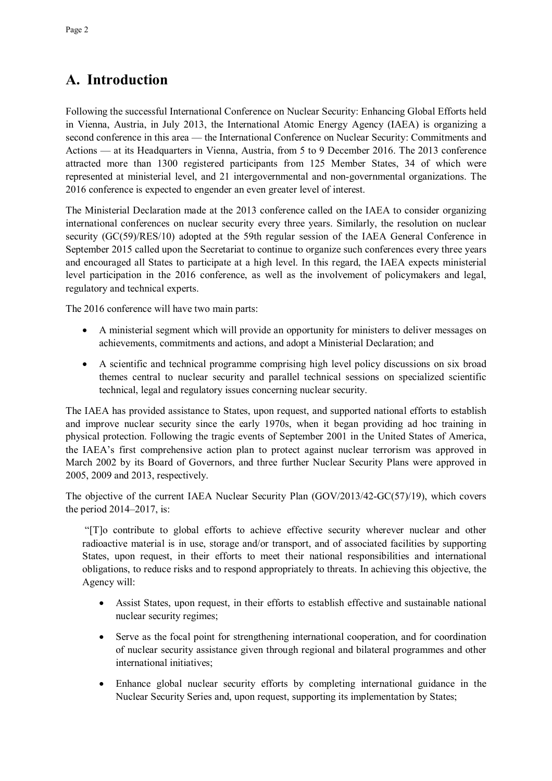# **A. Introduction**

Following the successful International Conference on Nuclear Security: Enhancing Global Efforts held in Vienna, Austria, in July 2013, the International Atomic Energy Agency (IAEA) is organizing a second conference in this area — the International Conference on Nuclear Security: Commitments and Actions — at its Headquarters in Vienna, Austria, from 5 to 9 December 2016. The 2013 conference attracted more than 1300 registered participants from 125 Member States, 34 of which were represented at ministerial level, and 21 intergovernmental and non-governmental organizations. The 2016 conference is expected to engender an even greater level of interest.

The Ministerial Declaration made at the 2013 conference called on the IAEA to consider organizing international conferences on nuclear security every three years. Similarly, the resolution on nuclear security (GC(59)/RES/10) adopted at the 59th regular session of the IAEA General Conference in September 2015 called upon the Secretariat to continue to organize such conferences every three years and encouraged all States to participate at a high level. In this regard, the IAEA expects ministerial level participation in the 2016 conference, as well as the involvement of policymakers and legal, regulatory and technical experts.

The 2016 conference will have two main parts:

- A ministerial segment which will provide an opportunity for ministers to deliver messages on achievements, commitments and actions, and adopt a Ministerial Declaration; and
- A scientific and technical programme comprising high level policy discussions on six broad themes central to nuclear security and parallel technical sessions on specialized scientific technical, legal and regulatory issues concerning nuclear security.

The IAEA has provided assistance to States, upon request, and supported national efforts to establish and improve nuclear security since the early 1970s, when it began providing ad hoc training in physical protection. Following the tragic events of September 2001 in the United States of America, the IAEA's first comprehensive action plan to protect against nuclear terrorism was approved in March 2002 by its Board of Governors, and three further Nuclear Security Plans were approved in 2005, 2009 and 2013, respectively.

The objective of the current IAEA Nuclear Security Plan (GOV/2013/42-GC(57)/19), which covers the period 2014–2017, is:

 "[T]o contribute to global efforts to achieve effective security wherever nuclear and other radioactive material is in use, storage and/or transport, and of associated facilities by supporting States, upon request, in their efforts to meet their national responsibilities and international obligations, to reduce risks and to respond appropriately to threats. In achieving this objective, the Agency will:

- Assist States, upon request, in their efforts to establish effective and sustainable national nuclear security regimes;
- Serve as the focal point for strengthening international cooperation, and for coordination of nuclear security assistance given through regional and bilateral programmes and other international initiatives;
- Enhance global nuclear security efforts by completing international guidance in the Nuclear Security Series and, upon request, supporting its implementation by States;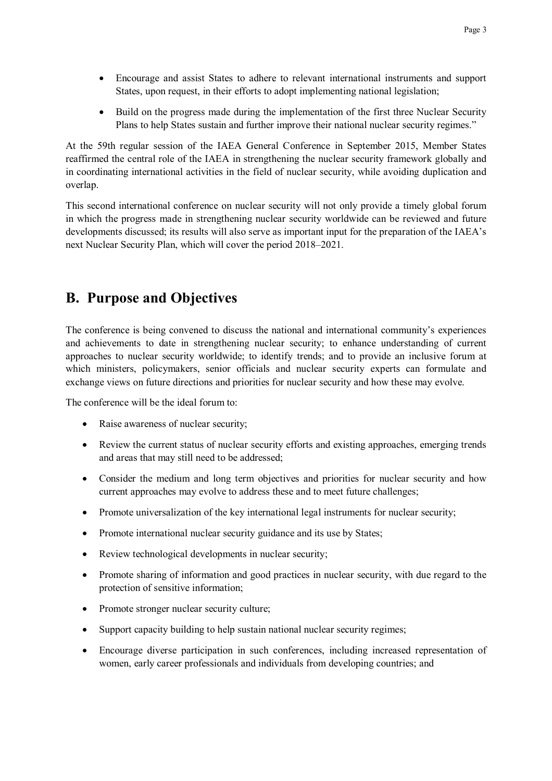- Encourage and assist States to adhere to relevant international instruments and support States, upon request, in their efforts to adopt implementing national legislation;
- Build on the progress made during the implementation of the first three Nuclear Security Plans to help States sustain and further improve their national nuclear security regimes."

At the 59th regular session of the IAEA General Conference in September 2015, Member States reaffirmed the central role of the IAEA in strengthening the nuclear security framework globally and in coordinating international activities in the field of nuclear security, while avoiding duplication and overlap.

This second international conference on nuclear security will not only provide a timely global forum in which the progress made in strengthening nuclear security worldwide can be reviewed and future developments discussed; its results will also serve as important input for the preparation of the IAEA's next Nuclear Security Plan, which will cover the period 2018–2021.

# **B. Purpose and Objectives**

The conference is being convened to discuss the national and international community's experiences and achievements to date in strengthening nuclear security; to enhance understanding of current approaches to nuclear security worldwide; to identify trends; and to provide an inclusive forum at which ministers, policymakers, senior officials and nuclear security experts can formulate and exchange views on future directions and priorities for nuclear security and how these may evolve.

The conference will be the ideal forum to:

- Raise awareness of nuclear security;
- Review the current status of nuclear security efforts and existing approaches, emerging trends and areas that may still need to be addressed;
- Consider the medium and long term objectives and priorities for nuclear security and how current approaches may evolve to address these and to meet future challenges;
- Promote universalization of the key international legal instruments for nuclear security;
- Promote international nuclear security guidance and its use by States;
- Review technological developments in nuclear security;
- Promote sharing of information and good practices in nuclear security, with due regard to the protection of sensitive information;
- Promote stronger nuclear security culture;
- Support capacity building to help sustain national nuclear security regimes;
- Encourage diverse participation in such conferences, including increased representation of women, early career professionals and individuals from developing countries; and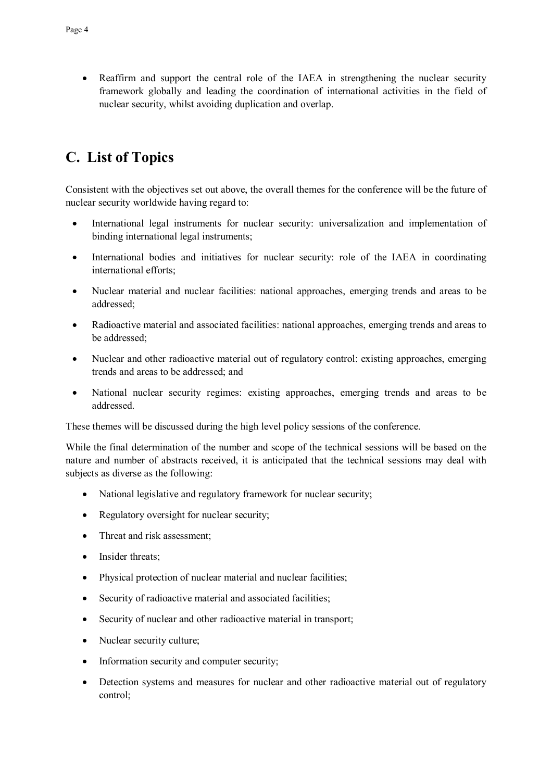• Reaffirm and support the central role of the IAEA in strengthening the nuclear security framework globally and leading the coordination of international activities in the field of nuclear security, whilst avoiding duplication and overlap.

# **C. List of Topics**

Consistent with the objectives set out above, the overall themes for the conference will be the future of nuclear security worldwide having regard to:

- International legal instruments for nuclear security: universalization and implementation of binding international legal instruments;
- International bodies and initiatives for nuclear security: role of the IAEA in coordinating international efforts;
- Nuclear material and nuclear facilities: national approaches, emerging trends and areas to be addressed;
- Radioactive material and associated facilities: national approaches, emerging trends and areas to be addressed;
- Nuclear and other radioactive material out of regulatory control: existing approaches, emerging trends and areas to be addressed; and
- National nuclear security regimes: existing approaches, emerging trends and areas to be addressed.

These themes will be discussed during the high level policy sessions of the conference.

While the final determination of the number and scope of the technical sessions will be based on the nature and number of abstracts received, it is anticipated that the technical sessions may deal with subjects as diverse as the following:

- National legislative and regulatory framework for nuclear security;
- Regulatory oversight for nuclear security;
- Threat and risk assessment;
- Insider threats:
- Physical protection of nuclear material and nuclear facilities:
- Security of radioactive material and associated facilities;
- Security of nuclear and other radioactive material in transport;
- Nuclear security culture;
- Information security and computer security;
- Detection systems and measures for nuclear and other radioactive material out of regulatory control;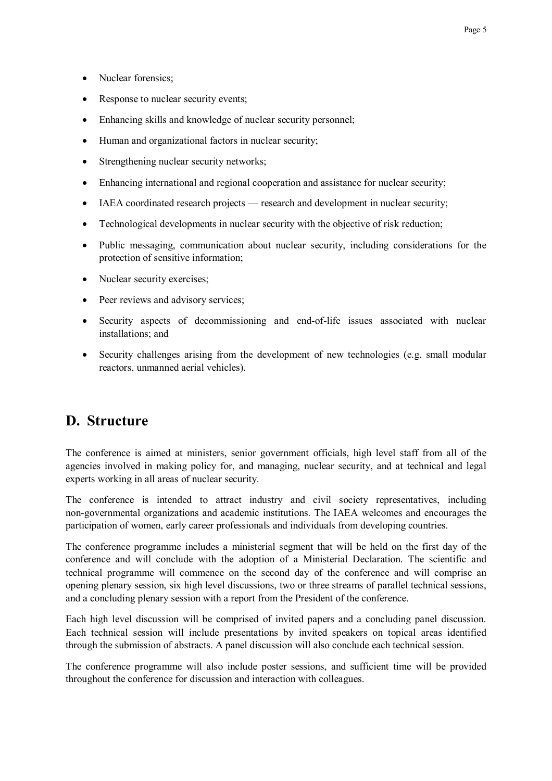- Nuclear forensics:
- Response to nuclear security events;
- Enhancing skills and knowledge of nuclear security personnel;
- Human and organizational factors in nuclear security;
- Strengthening nuclear security networks;
- Enhancing international and regional cooperation and assistance for nuclear security;
- IAEA coordinated research projects research and development in nuclear security;
- Technological developments in nuclear security with the objective of risk reduction;
- Public messaging, communication about nuclear security, including considerations for the protection of sensitive information;
- Nuclear security exercises;
- Peer reviews and advisory services;
- Security aspects of decommissioning and end-of-life issues associated with nuclear installations; and
- Security challenges arising from the development of new technologies (e.g. small modular reactors, unmanned aerial vehicles).

# **D. Structure**

The conference is aimed at ministers, senior government officials, high level staff from all of the agencies involved in making policy for, and managing, nuclear security, and at technical and legal experts working in all areas of nuclear security.

The conference is intended to attract industry and civil society representatives, including non-governmental organizations and academic institutions. The IAEA welcomes and encourages the participation of women, early career professionals and individuals from developing countries.

The conference programme includes a ministerial segment that will be held on the first day of the conference and will conclude with the adoption of a Ministerial Declaration. The scientific and technical programme will commence on the second day of the conference and will comprise an opening plenary session, six high level discussions, two or three streams of parallel technical sessions, and a concluding plenary session with a report from the President of the conference.

Each high level discussion will be comprised of invited papers and a concluding panel discussion. Each technical session will include presentations by invited speakers on topical areas identified through the submission of abstracts. A panel discussion will also conclude each technical session.

The conference programme will also include poster sessions, and sufficient time will be provided throughout the conference for discussion and interaction with colleagues.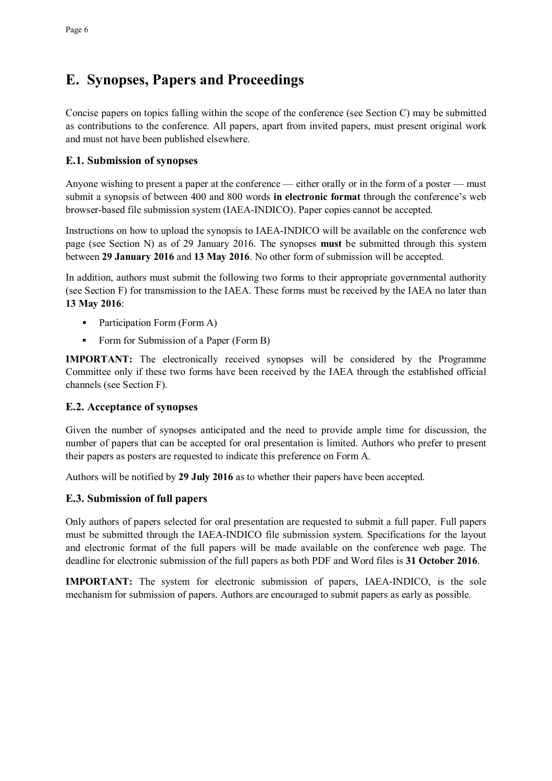# **E. Synopses, Papers and Proceedings**

Concise papers on topics falling within the scope of the conference (see Section C) may be submitted as contributions to the conference. All papers, apart from invited papers, must present original work and must not have been published elsewhere.

#### **E.1. Submission of synopses**

Anyone wishing to present a paper at the conference — either orally or in the form of a poster — must submit a synopsis of between 400 and 800 words **in electronic format** through the conference's web browser-based file submission system (IAEA-INDICO). Paper copies cannot be accepted.

Instructions on how to upload the synopsis to IAEA-INDICO will be available on the conference web page (see Section N) as of 29 January 2016. The synopses **must** be submitted through this system between **29 January 2016** and **13 May 2016**. No other form of submission will be accepted.

In addition, authors must submit the following two forms to their appropriate governmental authority (see Section F) for transmission to the IAEA. These forms must be received by the IAEA no later than **13 May 2016**:

- Participation Form (Form A)
- Form for Submission of a Paper (Form B)

**IMPORTANT:** The electronically received synopses will be considered by the Programme Committee only if these two forms have been received by the IAEA through the established official channels (see Section F).

#### **E.2. Acceptance of synopses**

Given the number of synopses anticipated and the need to provide ample time for discussion, the number of papers that can be accepted for oral presentation is limited. Authors who prefer to present their papers as posters are requested to indicate this preference on Form A.

Authors will be notified by **29 July 2016** as to whether their papers have been accepted.

### **E.3. Submission of full papers**

Only authors of papers selected for oral presentation are requested to submit a full paper. Full papers must be submitted through the IAEA-INDICO file submission system. Specifications for the layout and electronic format of the full papers will be made available on the conference web page. The deadline for electronic submission of the full papers as both PDF and Word files is **31 October 2016**.

**IMPORTANT:** The system for electronic submission of papers, IAEA-INDICO, is the sole mechanism for submission of papers. Authors are encouraged to submit papers as early as possible.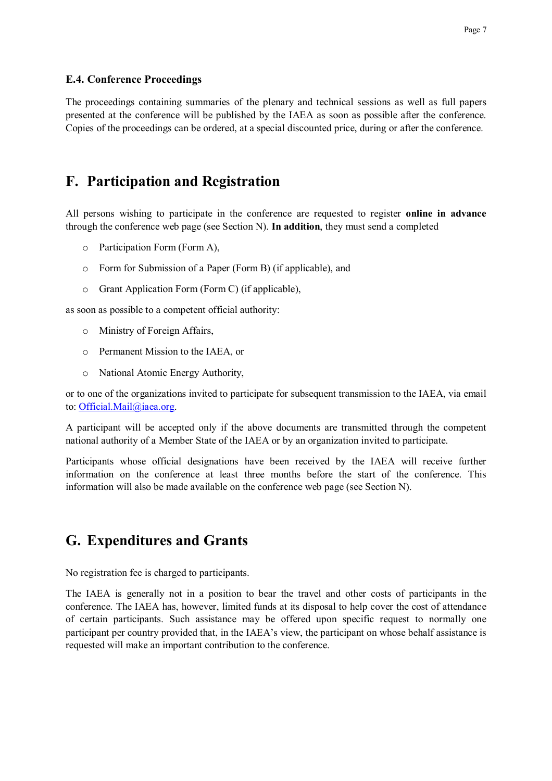#### **E.4. Conference Proceedings**

The proceedings containing summaries of the plenary and technical sessions as well as full papers presented at the conference will be published by the IAEA as soon as possible after the conference. Copies of the proceedings can be ordered, at a special discounted price, during or after the conference.

### **F. Participation and Registration**

All persons wishing to participate in the conference are requested to register **online in advance** through the conference web page (see Section N). **In addition**, they must send a completed

- o Participation Form (Form A),
- o Form for Submission of a Paper (Form B) (if applicable), and
- o Grant Application Form (Form C) (if applicable),

as soon as possible to a competent official authority:

- o Ministry of Foreign Affairs,
- o Permanent Mission to the IAEA, or
- o National Atomic Energy Authority,

or to one of the organizations invited to participate for subsequent transmission to the IAEA, via email to: Official.Mail@iaea.org.

A participant will be accepted only if the above documents are transmitted through the competent national authority of a Member State of the IAEA or by an organization invited to participate.

Participants whose official designations have been received by the IAEA will receive further information on the conference at least three months before the start of the conference. This information will also be made available on the conference web page (see Section N).

### **G. Expenditures and Grants**

No registration fee is charged to participants.

The IAEA is generally not in a position to bear the travel and other costs of participants in the conference. The IAEA has, however, limited funds at its disposal to help cover the cost of attendance of certain participants. Such assistance may be offered upon specific request to normally one participant per country provided that, in the IAEA's view, the participant on whose behalf assistance is requested will make an important contribution to the conference.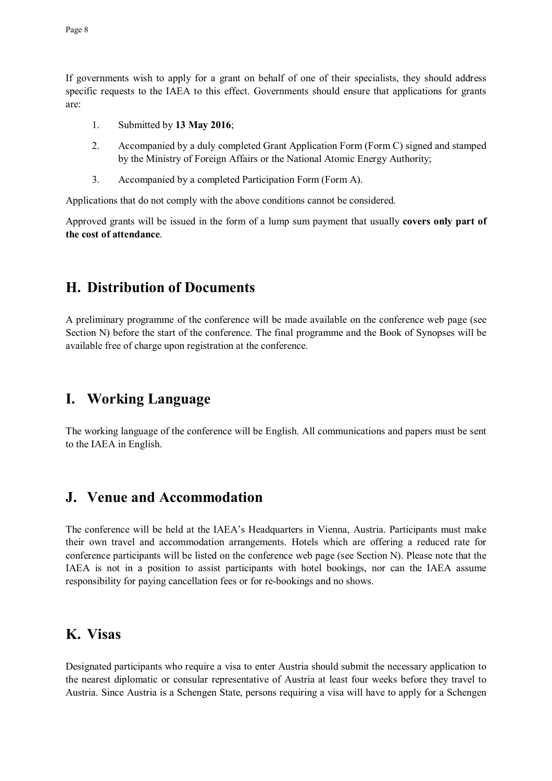If governments wish to apply for a grant on behalf of one of their specialists, they should address specific requests to the IAEA to this effect. Governments should ensure that applications for grants are:

- 1. Submitted by **13 May 2016**;
- 2. Accompanied by a duly completed Grant Application Form (Form C) signed and stamped by the Ministry of Foreign Affairs or the National Atomic Energy Authority;
- 3. Accompanied by a completed Participation Form (Form A).

Applications that do not comply with the above conditions cannot be considered.

Approved grants will be issued in the form of a lump sum payment that usually **covers only part of the cost of attendance**.

### **H. Distribution of Documents**

A preliminary programme of the conference will be made available on the conference web page (see Section N) before the start of the conference. The final programme and the Book of Synopses will be available free of charge upon registration at the conference.

### **I. Working Language**

The working language of the conference will be English. All communications and papers must be sent to the IAEA in English.

### **J. Venue and Accommodation**

The conference will be held at the IAEA's Headquarters in Vienna, Austria. Participants must make their own travel and accommodation arrangements. Hotels which are offering a reduced rate for conference participants will be listed on the conference web page (see Section N). Please note that the IAEA is not in a position to assist participants with hotel bookings, nor can the IAEA assume responsibility for paying cancellation fees or for re-bookings and no shows.

### **K. Visas**

Designated participants who require a visa to enter Austria should submit the necessary application to the nearest diplomatic or consular representative of Austria at least four weeks before they travel to Austria. Since Austria is a Schengen State, persons requiring a visa will have to apply for a Schengen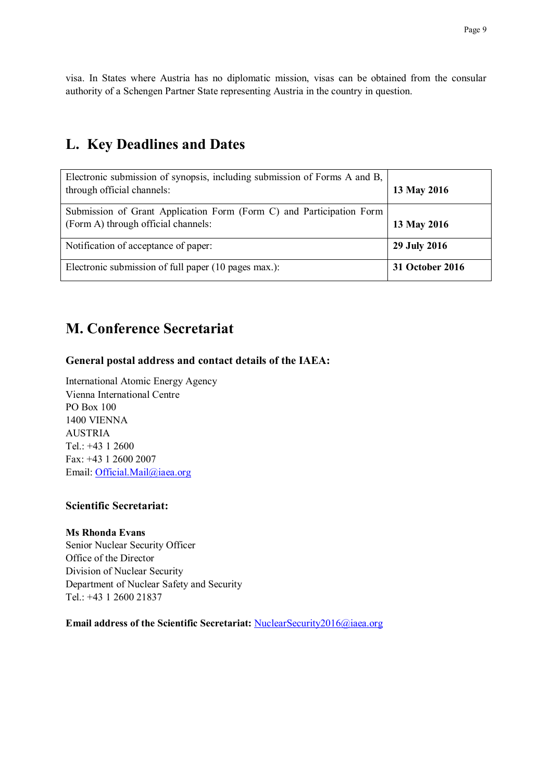visa. In States where Austria has no diplomatic mission, visas can be obtained from the consular authority of a Schengen Partner State representing Austria in the country in question.

# **L. Key Deadlines and Dates**

| Electronic submission of synopsis, including submission of Forms A and B,<br>through official channels:     | 13 May 2016     |
|-------------------------------------------------------------------------------------------------------------|-----------------|
| Submission of Grant Application Form (Form C) and Participation Form<br>(Form A) through official channels: | 13 May 2016     |
| Notification of acceptance of paper:                                                                        | 29 July 2016    |
| Electronic submission of full paper (10 pages max.):                                                        | 31 October 2016 |

# **M. Conference Secretariat**

### **General postal address and contact details of the IAEA:**

International Atomic Energy Agency Vienna International Centre PO Box 100 1400 VIENNA AUSTRIA Tel.: +43 1 2600 Fax: +43 1 2600 2007 Email: Official.Mail@iaea.org

#### **Scientific Secretariat:**

#### **Ms Rhonda Evans**

Senior Nuclear Security Officer Office of the Director Division of Nuclear Security Department of Nuclear Safety and Security Tel.: +43 1 2600 21837

**Email address of the Scientific Secretariat:** NuclearSecurity2016@iaea.org